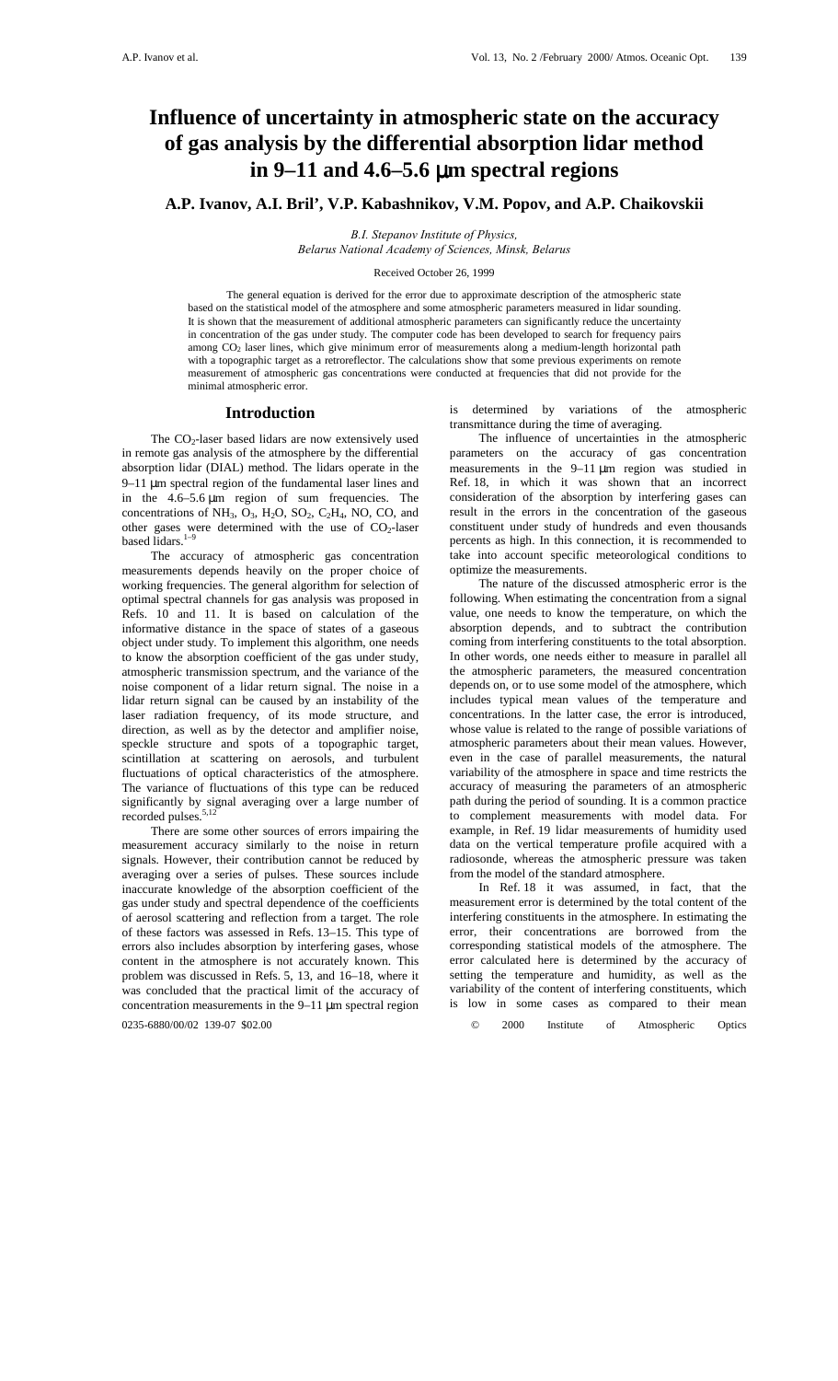# **Influence of uncertainty in atmospheric state on the accuracy of gas analysis by the differential absorption lidar method in 9–11 and 4.6–5.6** µ**m spectral regions**

# **A.P. Ivanov, A.I. Bril', V.P. Kabashnikov, V.M. Popov, and A.P. Chaikovskii**

*B.I. Stepanov Institute of Physics, Belarus National Academy of Sciences, Minsk, Belarus*

#### Received October 26, 1999

The general equation is derived for the error due to approximate description of the atmospheric state based on the statistical model of the atmosphere and some atmospheric parameters measured in lidar sounding. It is shown that the measurement of additional atmospheric parameters can significantly reduce the uncertainty in concentration of the gas under study. The computer code has been developed to search for frequency pairs among CO2 laser lines, which give minimum error of measurements along a medium-length horizontal path with a topographic target as a retroreflector. The calculations show that some previous experiments on remote measurement of atmospheric gas concentrations were conducted at frequencies that did not provide for the minimal atmospheric error.

## **Introduction**

The  $CO<sub>2</sub>$ -laser based lidars are now extensively used in remote gas analysis of the atmosphere by the differential absorption lidar (DIAL) method. The lidars operate in the 9–11 µm spectral region of the fundamental laser lines and in the 4.6–5.6 µm region of sum frequencies. The concentrations of NH<sub>3</sub>,  $O_3$ , H<sub>2</sub>O, SO<sub>2</sub>, C<sub>2</sub>H<sub>4</sub>, NO, CO, and other gases were determined with the use of  $CO<sub>2</sub>$ -laser based lidars. $1-9$ 

The accuracy of atmospheric gas concentration measurements depends heavily on the proper choice of working frequencies. The general algorithm for selection of optimal spectral channels for gas analysis was proposed in Refs. 10 and 11. It is based on calculation of the informative distance in the space of states of a gaseous object under study. To implement this algorithm, one needs to know the absorption coefficient of the gas under study, atmospheric transmission spectrum, and the variance of the noise component of a lidar return signal. The noise in a lidar return signal can be caused by an instability of the laser radiation frequency, of its mode structure, and direction, as well as by the detector and amplifier noise, speckle structure and spots of a topographic target, scintillation at scattering on aerosols, and turbulent fluctuations of optical characteristics of the atmosphere. The variance of fluctuations of this type can be reduced significantly by signal averaging over a large number of recorded pulses.<sup>5,12</sup>

There are some other sources of errors impairing the measurement accuracy similarly to the noise in return signals. However, their contribution cannot be reduced by averaging over a series of pulses. These sources include inaccurate knowledge of the absorption coefficient of the gas under study and spectral dependence of the coefficients of aerosol scattering and reflection from a target. The role of these factors was assessed in Refs. 13–15. This type of errors also includes absorption by interfering gases, whose content in the atmosphere is not accurately known. This problem was discussed in Refs. 5, 13, and 16–18, where it was concluded that the practical limit of the accuracy of concentration measurements in the  $9-11 \mu m$  spectral region is determined by variations of the atmospheric transmittance during the time of averaging.

The influence of uncertainties in the atmospheric parameters on the accuracy of gas concentration measurements in the 9–11 µm region was studied in Ref. 18, in which it was shown that an incorrect consideration of the absorption by interfering gases can result in the errors in the concentration of the gaseous constituent under study of hundreds and even thousands percents as high. In this connection, it is recommended to take into account specific meteorological conditions to optimize the measurements.

The nature of the discussed atmospheric error is the following. When estimating the concentration from a signal value, one needs to know the temperature, on which the absorption depends, and to subtract the contribution coming from interfering constituents to the total absorption. In other words, one needs either to measure in parallel all the atmospheric parameters, the measured concentration depends on, or to use some model of the atmosphere, which includes typical mean values of the temperature and concentrations. In the latter case, the error is introduced, whose value is related to the range of possible variations of atmospheric parameters about their mean values. However, even in the case of parallel measurements, the natural variability of the atmosphere in space and time restricts the accuracy of measuring the parameters of an atmospheric path during the period of sounding. It is a common practice to complement measurements with model data. For example, in Ref. 19 lidar measurements of humidity used data on the vertical temperature profile acquired with a radiosonde, whereas the atmospheric pressure was taken from the model of the standard atmosphere.

In Ref. 18 it was assumed, in fact, that the measurement error is determined by the total content of the interfering constituents in the atmosphere. In estimating the error, their concentrations are borrowed from the corresponding statistical models of the atmosphere. The error calculated here is determined by the accuracy of setting the temperature and humidity, as well as the variability of the content of interfering constituents, which is low in some cases as compared to their mean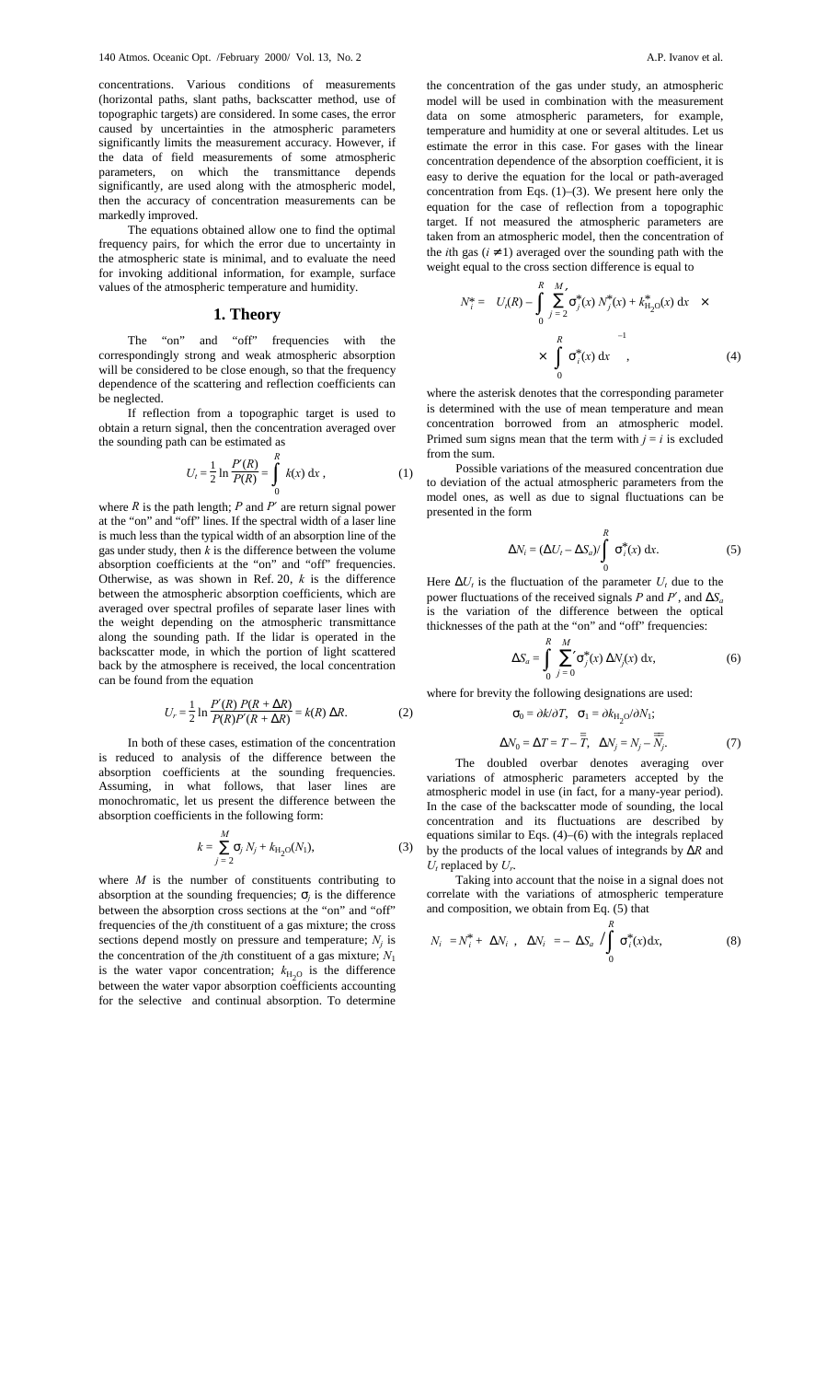concentrations. Various conditions of measurements (horizontal paths, slant paths, backscatter method, use of topographic targets) are considered. In some cases, the error caused by uncertainties in the atmospheric parameters significantly limits the measurement accuracy. However, if the data of field measurements of some atmospheric parameters, on which the transmittance depends significantly, are used along with the atmospheric model, then the accuracy of concentration measurements can be markedly improved.

The equations obtained allow one to find the optimal frequency pairs, for which the error due to uncertainty in the atmospheric state is minimal, and to evaluate the need for invoking additional information, for example, surface values of the atmospheric temperature and humidity.

## **1. Theory**

The "on" and "off" frequencies with the correspondingly strong and weak atmospheric absorption will be considered to be close enough, so that the frequency dependence of the scattering and reflection coefficients can be neglected.

If reflection from a topographic target is used to obtain a return signal, then the concentration averaged over the sounding path can be estimated as

$$
U_t = \frac{1}{2} \ln \frac{P'(R)}{P(R)} = \int_0^R k(x) \, \mathrm{d}x \,, \tag{1}
$$

where  $R$  is the path length;  $P$  and  $P'$  are return signal power at the "on" and "off" lines. If the spectral width of a laser line is much less than the typical width of an absorption line of the gas under study, then  $k$  is the difference between the volume absorption coefficients at the "on" and "off" frequencies. Otherwise, as was shown in Ref. 20, *k* is the difference between the atmospheric absorption coefficients, which are averaged over spectral profiles of separate laser lines with the weight depending on the atmospheric transmittance along the sounding path. If the lidar is operated in the backscatter mode, in which the portion of light scattered back by the atmosphere is received, the local concentration can be found from the equation

$$
U_r = \frac{1}{2} \ln \frac{P'(R) P(R + \Delta R)}{P(R)P'(R + \Delta R)} = k(R) \Delta R.
$$
 (2)

In both of these cases, estimation of the concentration is reduced to analysis of the difference between the absorption coefficients at the sounding frequencies. Assuming, in what follows, that laser lines are monochromatic, let us present the difference between the absorption coefficients in the following form:

$$
k = \sum_{j=2}^{M} \sigma_j N_j + k_{\text{H}_2\text{O}}(N_1),
$$
 (3)

where *M* is the number of constituents contributing to absorption at the sounding frequencies;  $\sigma_i$  is the difference between the absorption cross sections at the "on" and "off" frequencies of the *j*th constituent of a gas mixture; the cross sections depend mostly on pressure and temperature;  $N_i$  is the concentration of the *j*th constituent of a gas mixture;  $N_1$ is the water vapor concentration;  $k_{\text{H}_2O}$  is the difference between the water vapor absorption coefficients accounting for the selective and continual absorption. To determine the concentration of the gas under study, an atmospheric model will be used in combination with the measurement data on some atmospheric parameters, for example, temperature and humidity at one or several altitudes. Let us estimate the error in this case. For gases with the linear concentration dependence of the absorption coefficient, it is easy to derive the equation for the local or path-averaged concentration from Eqs. (1)–(3). We present here only the equation for the case of reflection from a topographic target. If not measured the atmospheric parameters are taken from an atmospheric model, then the concentration of the *i*th gas ( $i \neq 1$ ) averaged over the sounding path with the weight equal to the cross section difference is equal to

$$
N_{i}^{*} = \left\{ U_{i}(R) - \int_{0}^{R} \sum_{j=2}^{M} \sigma_{j}^{*}(x) N_{j}^{*}(x) + k_{\mathrm{H}_{2}O}^{*}(x) dx \right\} \times \times \left[ \int_{0}^{R} \sigma_{i}^{*}(x) dx \right]^{-1}, \tag{4}
$$

where the asterisk denotes that the corresponding parameter is determined with the use of mean temperature and mean concentration borrowed from an atmospheric model. Primed sum signs mean that the term with  $j = i$  is excluded from the sum.

Possible variations of the measured concentration due to deviation of the actual atmospheric parameters from the model ones, as well as due to signal fluctuations can be presented in the form

$$
\Delta N_i = (\Delta U_t - \Delta S_a) / \int_0^R \sigma_i^*(x) dx.
$$
 (5)

Here  $\Delta U_t$  is the fluctuation of the parameter  $U_t$  due to the power fluctuations of the received signals *P* and  $P'$ , and  $\Delta S_a$ is the variation of the difference between the optical thicknesses of the path at the "on" and "off" frequencies:

$$
\Delta S_a = \int\limits_0^R \sum\limits_{j=0}^M \sigma_j^*(x) \, \Delta N_j(x) \, \mathrm{d}x,\tag{6}
$$

where for brevity the following designations are used:

$$
\sigma_0 = \partial k/\partial T, \quad \sigma_1 = \partial k_{\text{H}_2 \text{O}}/\partial N_1;
$$
  

$$
\Delta N_0 = \Delta T = T - \overline{\overline{T}}, \quad \Delta N_j = N_j - \overline{\overline{N}_j}.
$$
 (7)

The doubled overbar denotes averaging over variations of atmospheric parameters accepted by the atmospheric model in use (in fact, for a many-year period). In the case of the backscatter mode of sounding, the local concentration and its fluctuations are described by equations similar to Eqs. (4)–(6) with the integrals replaced by the products of the local values of integrands by ∆*R* and *Ut* replaced by *Ur*.

Taking into account that the noise in a signal does not correlate with the variations of atmospheric temperature and composition, we obtain from Eq. (5) that

$$
\langle N_i \rangle = N_i^* + \langle \Delta N_i \rangle, \ \langle \Delta N_i \rangle = -\langle \Delta S_a \rangle / \int_0^R \sigma_i^*(x) dx, \tag{8}
$$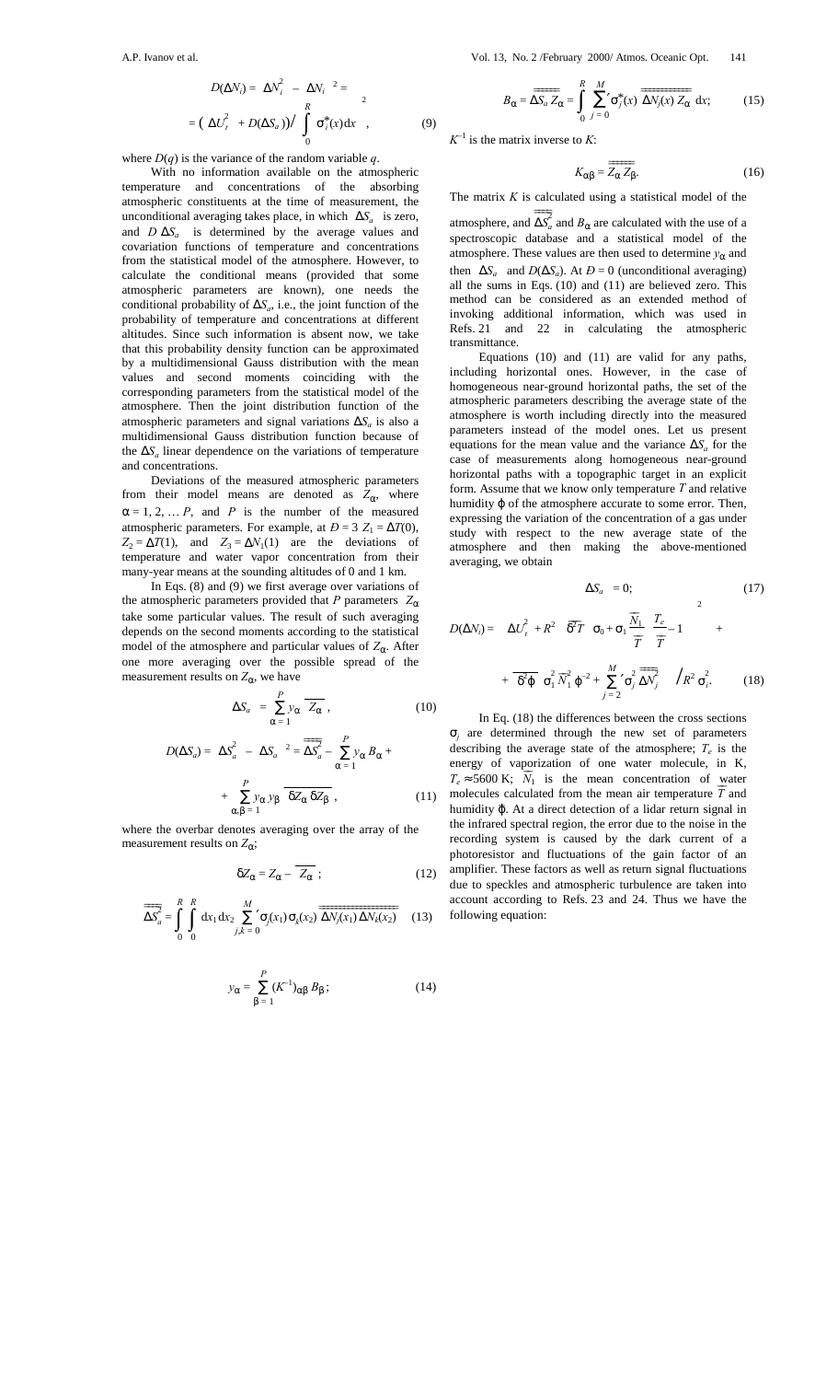$$
D(\Delta N_i) = \langle \Delta N_i^2 \rangle - \langle \Delta N_i \rangle^2 =
$$
  
=  $(\langle \Delta U_i^2 \rangle + D(\Delta S_a)) / \left( \int_0^R \sigma_i^*(x) dx \right)^2$ ,

where  $D(q)$  is the variance of the random variable q.

With no information available on the atmospheric temperature and concentrations of the absorbing atmospheric constituents at the time of measurement, the unconditional averaging takes place, in which 〈∆*Sa* 〉 is zero, and  $D(\Delta S_a)$  is determined by the average values and covariation functions of temperature and concentrations from the statistical model of the atmosphere. However, to calculate the conditional means (provided that some atmospheric parameters are known), one needs the conditional probability of ∆*Sa*, i.e., the joint function of the probability of temperature and concentrations at different altitudes. Since such information is absent now, we take that this probability density function can be approximated by a multidimensional Gauss distribution with the mean values and second moments coinciding with the corresponding parameters from the statistical model of the atmosphere. Then the joint distribution function of the atmospheric parameters and signal variations ∆*Sa* is also a multidimensional Gauss distribution function because of the ∆*Sa* linear dependence on the variations of temperature and concentrations.

Deviations of the measured atmospheric parameters from their model means are denoted as  $Z_{\alpha}$ , where  $\alpha = 1, 2, \dots P$ , and *P* is the number of the measured atmospheric parameters. For example, at  $D = 3 Z_1 = \Delta T(0)$ ,  $Z_2 = \Delta T(1)$ , and  $Z_3 = \Delta N_1(1)$  are the deviations of temperature and water vapor concentration from their many-year means at the sounding altitudes of 0 and 1 km.

In Eqs. (8) and (9) we first average over variations of the atmospheric parameters provided that *P* parameters  $Z_{\alpha}$ take some particular values. The result of such averaging depends on the second moments according to the statistical model of the atmosphere and particular values of  $Z_{\alpha}$ . After one more averaging over the possible spread of the measurement results on  $Z_{\alpha}$ , we have

$$
\langle \Delta S_a \rangle = \sum_{\alpha=1}^{P} y_{\alpha} \overline{Z_{\alpha}}, \qquad (10)
$$

$$
D(\Delta S_a) = \langle \Delta S_a^2 \rangle - \langle \Delta S_a \rangle^2 = \overline{\Delta S_a^2} - \sum_{\alpha=1}^P y_{\alpha} B_{\alpha} + \sum_{\alpha, \beta=1}^P y_{\alpha} y_{\beta} \overline{\delta Z_{\alpha} \delta Z_{\beta}},
$$
 (11)

where the overbar denotes averaging over the array of the measurement results on  $Z_{\alpha}$ ;

$$
\delta Z_{\alpha} = Z_{\alpha} - \overline{Z_{\alpha}} \; ; \tag{12}
$$

$$
\overline{\overline{\Delta S}_a^2} = \int_0^R \int_0^R dx_1 dx_2 \sum_{j,k=0}^M \sigma_j(x_1) \sigma_k(x_2) \overline{\overline{\Delta N_j(x_1) \Delta N_k(x_2)}} \quad (13)
$$

$$
y_{\alpha} = \sum_{\beta=1}^{P} (K^{-1})_{\alpha\beta} B_{\beta};
$$
 (14)

$$
B_{\alpha} = \overline{\Delta S_a Z_{\alpha}} = \int_{0}^{R} \sum_{j=0}^{M} \sigma_j^*(x) \overline{\Delta N_j(x) Z_{\alpha}} dx; \qquad (15)
$$

 $K^{-1}$  is the matrix inverse to *K*:

 $(9)$ 

$$
K_{\alpha\beta} = \overline{\overline{Z_{\alpha} Z_{\beta}}}.
$$
 (16)

The matrix *K* is calculated using a statistical model of the atmosphere, and  $\overrightarrow{\Delta S}$ <sup>2</sup>  $\overline{\Delta S_a^2}$  and  $B_\alpha$  are calculated with the use of a spectroscopic database and a statistical model of the atmosphere. These values are then used to determine  $y_{\alpha}$  and then  $\langle \Delta S_a \rangle$  and  $D(\Delta S_a)$ . At  $D = 0$  (unconditional averaging) all the sums in Eqs. (10) and (11) are believed zero. This method can be considered as an extended method of invoking additional information, which was used in

Refs. 21 and 22 in calculating the atmospheric

transmittance. Equations (10) and (11) are valid for any paths, including horizontal ones. However, in the case of homogeneous near-ground horizontal paths, the set of the atmospheric parameters describing the average state of the atmosphere is worth including directly into the measured parameters instead of the model ones. Let us present equations for the mean value and the variance  $\Delta S_a$  for the case of measurements along homogeneous near-ground horizontal paths with a topographic target in an explicit form. Assume that we know only temperature *T* and relative humidity ϕ of the atmosphere accurate to some error. Then, expressing the variation of the concentration of a gas under study with respect to the new average state of the atmosphere and then making the above-mentioned averaging, we obtain

$$
\langle \Delta S_a \rangle = 0; \qquad (17)
$$
  

$$
D(\Delta N_i) = \left( \langle \Delta U_i^2 \rangle + R^2 \left\{ \overline{\delta}^2 T \left[ \sigma_0 + \sigma_1 \frac{\overline{N}_1}{\overline{T}} \left( \frac{T_e}{\overline{T}} - 1 \right) \right] \right\}^2 + \frac{\overline{\delta}^2 \varphi}{\delta_0^2 \overline{N}_1^2 \varphi^2 + \sum_{j=2}^M \sigma_j^2 \frac{\overline{N}_j^2}{\Delta N_j} \right\} \right) / R^2 \sigma_i^2. \qquad (18)
$$

In Eq. (18) the differences between the cross sections  $\sigma_i$  are determined through the new set of parameters describing the average state of the atmosphere;  $T_e$  is the energy of vaporization of one water molecule, in K,  $T_e \approx 5600 \text{ K};$   $\overline{N_1}$  is the mean concentration of water molecules calculated from the mean air temperature  $\overline{T}$  and humidity  $\overline{\varphi}$ . At a direct detection of a lidar return signal in the infrared spectral region, the error due to the noise in the recording system is caused by the dark current of a photoresistor and fluctuations of the gain factor of an amplifier. These factors as well as return signal fluctuations due to speckles and atmospheric turbulence are taken into account according to Refs. 23 and 24. Thus we have the following equation: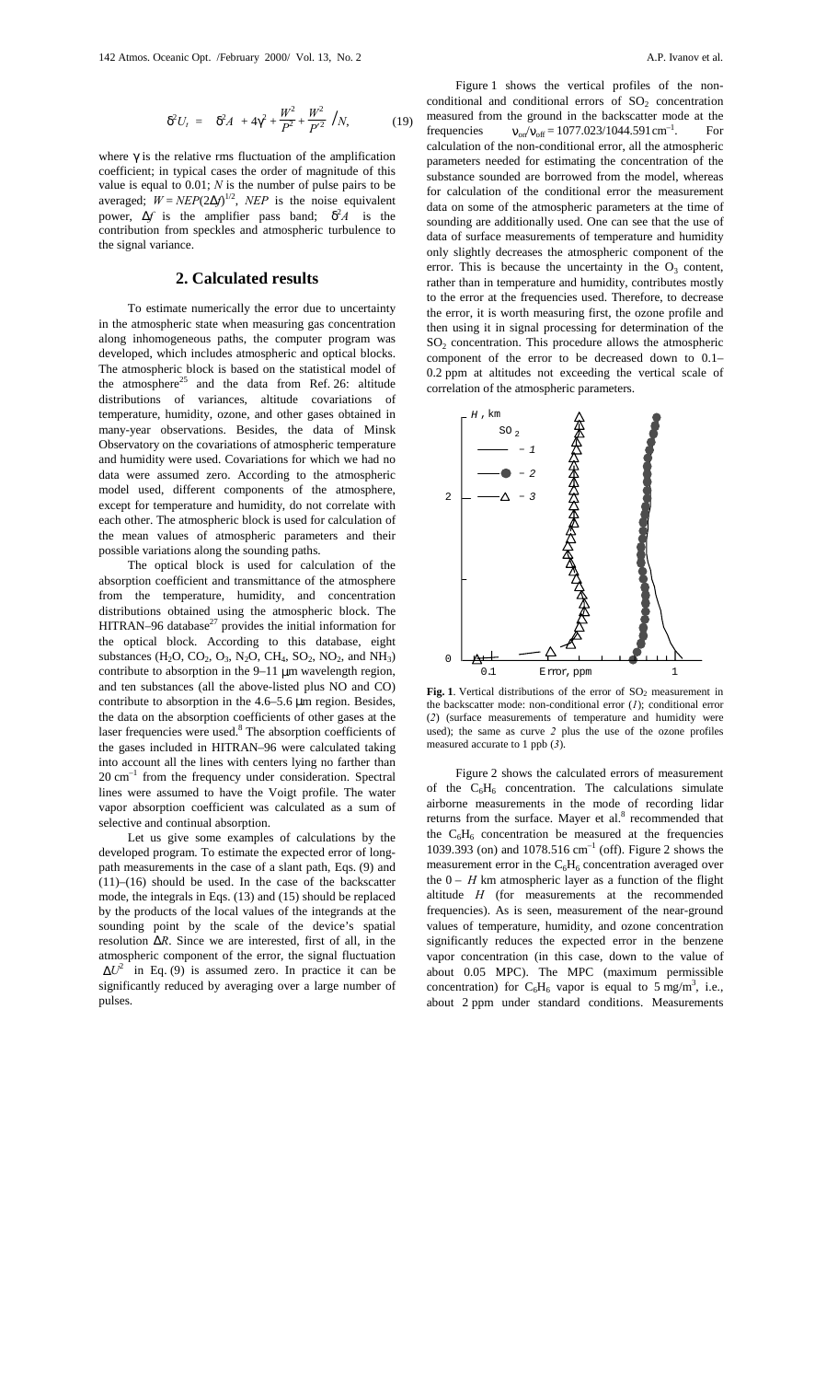$$
\langle \delta^2 U_t \rangle = \left( \langle \delta^2 A \rangle + 4\gamma^2 + \frac{W^2}{P^2} + \frac{W^2}{P'^2} \right) / N,\tag{19}
$$

where  $\gamma$  is the relative rms fluctuation of the amplification coefficient; in typical cases the order of magnitude of this value is equal to 0.01; *N* is the number of pulse pairs to be averaged;  $W = NEP(2\Delta f)^{1/2}$ , *NEP* is the noise equivalent power,  $\Delta f$  is the amplifier pass band;  $\langle \delta^2 A \rangle$  is the contribution from speckles and atmospheric turbulence to the signal variance.

# **2. Calculated results**

To estimate numerically the error due to uncertainty in the atmospheric state when measuring gas concentration along inhomogeneous paths, the computer program was developed, which includes atmospheric and optical blocks. The atmospheric block is based on the statistical model of the atmosphere<sup>25</sup> and the data from Ref. 26: altitude distributions of variances, altitude covariations of temperature, humidity, ozone, and other gases obtained in many-year observations. Besides, the data of Minsk Observatory on the covariations of atmospheric temperature and humidity were used. Covariations for which we had no data were assumed zero. According to the atmospheric model used, different components of the atmosphere, except for temperature and humidity, do not correlate with each other. The atmospheric block is used for calculation of the mean values of atmospheric parameters and their possible variations along the sounding paths.

The optical block is used for calculation of the absorption coefficient and transmittance of the atmosphere from the temperature, humidity, and concentration distributions obtained using the atmospheric block. The HITRAN–96 database $^{27}$  provides the initial information for the optical block. According to this database, eight substances (H<sub>2</sub>O, CO<sub>2</sub>, O<sub>3</sub>, N<sub>2</sub>O, CH<sub>4</sub>, SO<sub>2</sub>, NO<sub>2</sub>, and NH<sub>3</sub>) contribute to absorption in the 9–11 µm wavelength region, and ten substances (all the above-listed plus NO and CO) contribute to absorption in the 4.6–5.6 µm region. Besides, the data on the absorption coefficients of other gases at the laser frequencies were used.<sup>8</sup> The absorption coefficients of the gases included in HITRAN–96 were calculated taking into account all the lines with centers lying no farther than  $20 \text{ cm}^{-1}$  from the frequency under consideration. Spectral lines were assumed to have the Voigt profile. The water vapor absorption coefficient was calculated as a sum of selective and continual absorption.

Let us give some examples of calculations by the developed program. To estimate the expected error of longpath measurements in the case of a slant path, Eqs. (9) and  $(11)$ – $(16)$  should be used. In the case of the backscatter mode, the integrals in Eqs. (13) and (15) should be replaced by the products of the local values of the integrands at the sounding point by the scale of the device's spatial resolution ∆*R*. Since we are interested, first of all, in the atmospheric component of the error, the signal fluctuation  $\langle \Delta U^2 \rangle$  in Eq. (9) is assumed zero. In practice it can be significantly reduced by averaging over a large number of pulses.

Figure 1 shows the vertical profiles of the nonconditional and conditional errors of  $SO<sub>2</sub>$  concentration measured from the ground in the backscatter mode at the frequencies  $v_{\text{on}}/v_{\text{off}} = 1077.023/1044.591 \text{ cm}^{-1}$ . For calculation of the non-conditional error, all the atmospheric parameters needed for estimating the concentration of the substance sounded are borrowed from the model, whereas for calculation of the conditional error the measurement data on some of the atmospheric parameters at the time of sounding are additionally used. One can see that the use of data of surface measurements of temperature and humidity only slightly decreases the atmospheric component of the error. This is because the uncertainty in the  $O_3$  content, rather than in temperature and humidity, contributes mostly to the error at the frequencies used. Therefore, to decrease the error, it is worth measuring first, the ozone profile and then using it in signal processing for determination of the  $SO<sub>2</sub>$  concentration. This procedure allows the atmospheric component of the error to be decreased down to 0.1– 0.2 ppm at altitudes not exceeding the vertical scale of correlation of the atmospheric parameters.



Fig. 1. Vertical distributions of the error of SO<sub>2</sub> measurement in the backscatter mode: non-conditional error (*1*); conditional error (*2*) (surface measurements of temperature and humidity were used); the same as curve *2* plus the use of the ozone profiles measured accurate to 1 ppb (*3*).

Figure 2 shows the calculated errors of measurement of the  $C_6H_6$  concentration. The calculations simulate airborne measurements in the mode of recording lidar returns from the surface. Mayer et al.<sup>8</sup> recommended that the  $C_6H_6$  concentration be measured at the frequencies 1039.393 (on) and 1078.516 cm–1 (off). Figure 2 shows the measurement error in the  $C_6H_6$  concentration averaged over the  $0 - H$  km atmospheric layer as a function of the flight altitude *H* (for measurements at the recommended frequencies). As is seen, measurement of the near-ground values of temperature, humidity, and ozone concentration significantly reduces the expected error in the benzene vapor concentration (in this case, down to the value of about 0.05 MPC). The MPC (maximum permissible concentration) for  $C_6H_6$  vapor is equal to 5 mg/m<sup>3</sup>, i.e., about 2 ppm under standard conditions. Measurements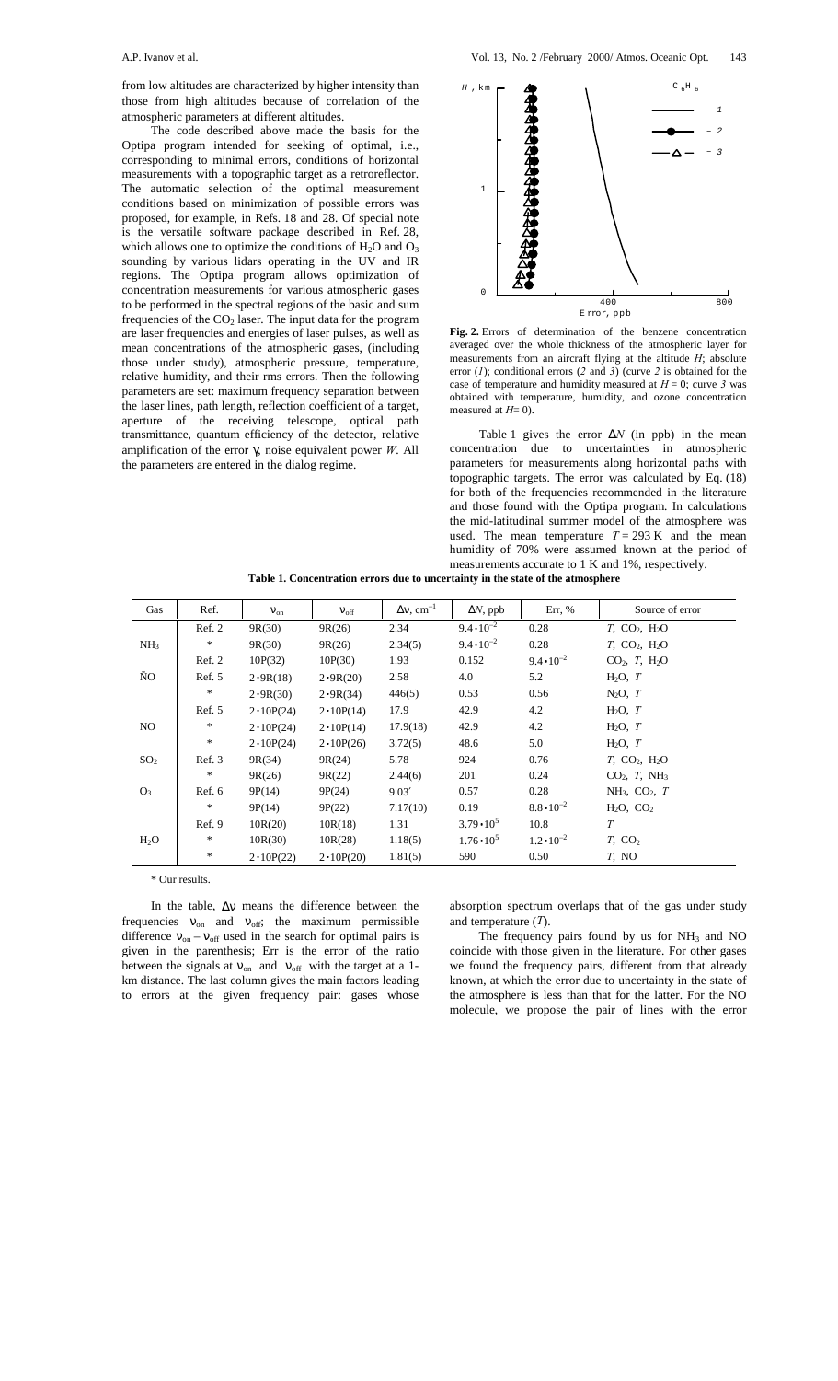from low altitudes are characterized by higher intensity than those from high altitudes because of correlation of the atmospheric parameters at different altitudes.

The code described above made the basis for the Optipa program intended for seeking of optimal, i.e., corresponding to minimal errors, conditions of horizontal measurements with a topographic target as a retroreflector. The automatic selection of the optimal measurement conditions based on minimization of possible errors was proposed, for example, in Refs. 18 and 28. Of special note is the versatile software package described in Ref. 28, which allows one to optimize the conditions of  $H_2O$  and  $O_3$ sounding by various lidars operating in the UV and IR regions. The Optipa program allows optimization of concentration measurements for various atmospheric gases to be performed in the spectral regions of the basic and sum frequencies of the  $CO<sub>2</sub>$  laser. The input data for the program are laser frequencies and energies of laser pulses, as well as mean concentrations of the atmospheric gases, (including those under study), atmospheric pressure, temperature, relative humidity, and their rms errors. Then the following parameters are set: maximum frequency separation between the laser lines, path length, reflection coefficient of a target, aperture of the receiving telescope, optical path transmittance, quantum efficiency of the detector, relative amplification of the error γ, noise equivalent power *W*. All the parameters are entered in the dialog regime.



**Fig. 2.** Errors of determination of the benzene concentration averaged over the whole thickness of the atmospheric layer for measurements from an aircraft flying at the altitude *H*; absolute error (*1*); conditional errors (*2* and *3*) (curve *2* is obtained for the case of temperature and humidity measured at  $H = 0$ ; curve 3 was obtained with temperature, humidity, and ozone concentration measured at *H*= 0).

Table 1 gives the error ∆*N* (in ppb) in the mean concentration due to uncertainties in atmospheric parameters for measurements along horizontal paths with topographic targets. The error was calculated by Eq. (18) for both of the frequencies recommended in the literature and those found with the Optipa program. In calculations the mid-latitudinal summer model of the atmosphere was used. The mean temperature  $T = 293$  K and the mean humidity of 70% were assumed known at the period of measurements accurate to 1 K and 1%, respectively.

| Gas             | Ref.   | $V_{on}$          | $V_{\rm off}$     | $\Delta v$ , cm <sup>-1</sup> | $\Delta N$ , ppb    | Err, $%$            | Source of error                                |
|-----------------|--------|-------------------|-------------------|-------------------------------|---------------------|---------------------|------------------------------------------------|
|                 | Ref. 2 | 9R(30)            | 9R(26)            | 2.34                          | $9.4 \cdot 10^{-2}$ | 0.28                | $T$ , CO <sub>2</sub> , H <sub>2</sub> O       |
| NH <sub>3</sub> | *      | 9R(30)            | 9R(26)            | 2.34(5)                       | $9.4 \cdot 10^{-2}$ | 0.28                | $T_{\rm s}$ CO <sub>2</sub> , H <sub>2</sub> O |
|                 | Ref. 2 | 10P(32)           | 10P(30)           | 1.93                          | 0.152               | $9.4 \cdot 10^{-2}$ | $CO2$ , T, H <sub>2</sub> O                    |
| ÑO              | Ref. 5 | 2.9R(18)          | 2.9R(20)          | 2.58                          | 4.0                 | 5.2                 | $H_2O, T$                                      |
|                 | $\ast$ | 2.9R(30)          | 2.9R(34)          | 446(5)                        | 0.53                | 0.56                | $N_2O, T$                                      |
|                 | Ref. 5 | $2 \cdot 10P(24)$ | $2 \cdot 10P(14)$ | 17.9                          | 42.9                | 4.2                 | $H_2O, T$                                      |
| NO.             | $\ast$ | $2 \cdot 10P(24)$ | $2 \cdot 10P(14)$ | 17.9(18)                      | 42.9                | 4.2                 | $H_2O$ , $T$                                   |
|                 | $\ast$ | $2 \cdot 10P(24)$ | $2 \cdot 10P(26)$ | 3.72(5)                       | 48.6                | 5.0                 | $H_2O, T$                                      |
| SO <sub>2</sub> | Ref. 3 | 9R(34)            | 9R(24)            | 5.78                          | 924                 | 0.76                | $T$ , CO <sub>2</sub> , H <sub>2</sub> O       |
|                 | $\ast$ | 9R(26)            | 9R(22)            | 2.44(6)                       | 201                 | 0.24                | $CO2$ , T, NH <sub>3</sub>                     |
| O <sub>3</sub>  | Ref. 6 | 9P(14)            | 9P(24)            | 9.03'                         | 0.57                | 0.28                | $NH_3$ , CO <sub>2</sub> , T                   |
|                 | *      | 9P(14)            | 9P(22)            | 7.17(10)                      | 0.19                | $8.8 \cdot 10^{-2}$ | $H_2O$ , $CO_2$                                |
|                 | Ref. 9 | 10R(20)           | 10R(18)           | 1.31                          | $3.79 \cdot 10^5$   | 10.8                | T                                              |
| $H_2O$          | *      | 10R(30)           | 10R(28)           | 1.18(5)                       | $1.76 \cdot 10^5$   | $1.2 \cdot 10^{-2}$ | $T$ , CO <sub>2</sub>                          |
|                 | *      | $2 \cdot 10P(22)$ | $2 \cdot 10P(20)$ | 1.81(5)                       | 590                 | 0.50                | T, NO                                          |

**Table 1. Concentration errors due to uncertainty in the state of the atmosphere**

\* Our results.

In the table, ∆ν means the difference between the frequencies  $v_{on}$  and  $v_{off}$ ; the maximum permissible difference  $v_{on} - v_{off}$  used in the search for optimal pairs is given in the parenthesis; Err is the error of the ratio between the signals at  $v_{on}$  and  $v_{off}$  with the target at a 1km distance. The last column gives the main factors leading to errors at the given frequency pair: gases whose absorption spectrum overlaps that of the gas under study and temperature (*T*).

The frequency pairs found by us for  $NH<sub>3</sub>$  and NO coincide with those given in the literature. For other gases we found the frequency pairs, different from that already known, at which the error due to uncertainty in the state of the atmosphere is less than that for the latter. For the NO molecule, we propose the pair of lines with the error